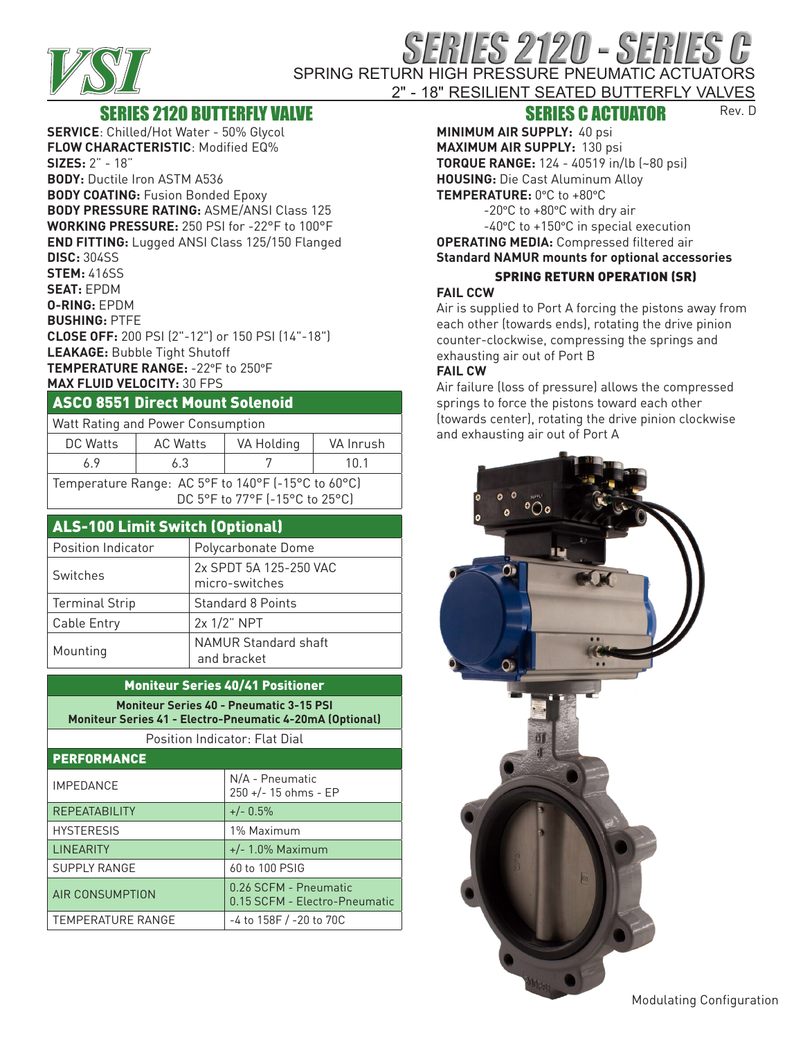

# RIES 2120 - SERIES SPRING RETURN HIGH PRESSURE PNEUMATIC ACTUATORS

#### 2" - 18" RESILIENT SEATED BUTTERFLY VALVES Rev. D

## SERIES 2120 BUTTERFLY VALVE

**SERVICE**: Chilled/Hot Water - 50% Glycol **FLOW CHARACTERISTIC**: Modified EQ% **SIZES:** 2" - 18" **BODY:** Ductile Iron ASTM A536 **BODY COATING:** Fusion Bonded Epoxy **BODY PRESSURE RATING:** ASME/ANSI Class 125 **WORKING PRESSURE:** 250 PSI for -22°F to 100°F **END FITTING:** Lugged ANSI Class 125/150 Flanged **DISC:** 304SS **STEM:** 416SS **SEAT:** EPDM **O-RING:** EPDM **BUSHING:** PTFE **CLOSE OFF:** 200 PSI (2"-12") or 150 PSI (14"-18") **LEAKAGE:** Bubble Tight Shutoff **TEMPERATURE RANGE:** -22°F to 250°F **MAX FLUID VELOCITY:** 30 FPS

### ASCO 8551 Direct Mount Solenoid

| Watt Rating and Power Consumption |                 |                                                                   |           |
|-----------------------------------|-----------------|-------------------------------------------------------------------|-----------|
| DC Watts                          | <b>AC Watts</b> | VA Holding                                                        | VA Inrush |
| 69                                | 6.3             |                                                                   | 10.1      |
|                                   |                 | Temperature Range: AC 5°F to 140°F (-15°C to 60°C)<br>$R = R - R$ |           |

DC 5°F to 77°F (-15°C to 25°C)

# ALS-100 Limit Switch (Optional)

| Position Indicator    | Polycarbonate Dome                  |
|-----------------------|-------------------------------------|
| Switches              | 2x SPDT 5A 125-250 VAC              |
|                       | micro-switches                      |
| <b>Terminal Strip</b> | <b>Standard 8 Points</b>            |
| Cable Entry           | 2x 1/2" NPT                         |
| Mounting              | NAMUR Standard shaft<br>and bracket |

#### Moniteur Series 40/41 Positioner

**Moniteur Series 40 - Pneumatic 3-15 PSI Moniteur Series 41 - Electro-Pneumatic 4-20mA (Optional)**

Position Indicator: Flat Dial

| PERFORMANCE          |                                                        |
|----------------------|--------------------------------------------------------|
| <b>IMPEDANCE</b>     | N/A - Pneumatic<br>250 +/- 15 ohms - EP                |
| <b>REPEATABILITY</b> | $+/- 0.5\%$                                            |
| <b>HYSTERESIS</b>    | 1% Maximum                                             |
| <b>LINEARITY</b>     | $+/- 1.0\%$ Maximum                                    |
| <b>SUPPLY RANGE</b>  | 60 to 100 PSIG                                         |
| AIR CONSUMPTION      | 0.26 SCFM - Pneumatic<br>0.15 SCFM - Electro-Pneumatic |
| TEMPERATURE RANGE    | -4 to 158F / -20 to 70C                                |

## SERIES C ACTUATOR

**MINIMUM AIR SUPPLY:** 40 psi **MAXIMUM AIR SUPPLY:** 130 psi **TORQUE RANGE:** 124 - 40519 in/lb (~80 psi) **HOUSING:** Die Cast Aluminum Alloy **TEMPERATURE:** 0°C to +80°C

> -20°C to +80°C with dry air -40°C to +150°C in special execution

**OPERATING MEDIA:** Compressed filtered air

#### **Standard NAMUR mounts for optional accessories** SPRING RETURN OPERATION (SR)

#### **FAIL CCW**

Air is supplied to Port A forcing the pistons away from each other (towards ends), rotating the drive pinion counter-clockwise, compressing the springs and exhausting air out of Port B

#### **FAIL CW**

Air failure (loss of pressure) allows the compressed springs to force the pistons toward each other (towards center), rotating the drive pinion clockwise and exhausting air out of Port A



Modulating Configuration